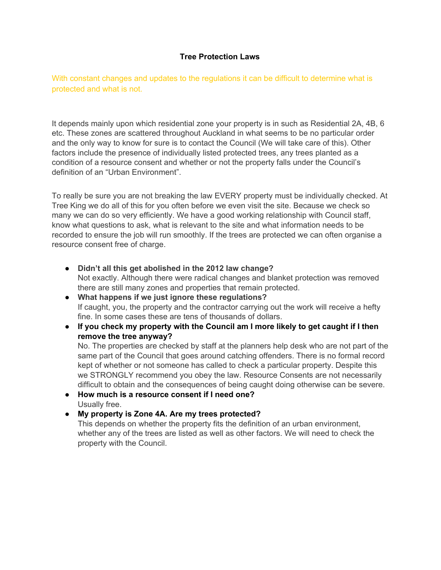## **Tree Protection Laws**

With constant changes and updates to the regulations it can be difficult to determine what is protected and what is not.

It depends mainly upon which residential zone your property is in such as Residential 2A, 4B, 6 etc. These zones are scattered throughout Auckland in what seems to be no particular order and the only way to know for sure is to contact the Council (We will take care of this). Other factors include the presence of individually listed protected trees, any trees planted as a condition of a resource consent and whether or not the property falls under the Council's definition of an "Urban Environment".

To really be sure you are not breaking the law EVERY property must be individually checked. At Tree King we do all of this for you often before we even visit the site. Because we check so many we can do so very efficiently. We have a good working relationship with Council staff, know what questions to ask, what is relevant to the site and what information needs to be recorded to ensure the job will run smoothly. If the trees are protected we can often organise a resource consent free of charge.

- **Didn't all this get abolished in the 2012 law change?** Not exactly. Although there were radical changes and blanket protection was removed there are still many zones and properties that remain protected.
- **What happens if we just ignore these regulations?** If caught, you, the property and the contractor carrying out the work will receive a hefty fine. In some cases these are tens of thousands of dollars.
- **If you check my property with the Council am I more likely to get caught if I then remove the tree anyway?**

No. The properties are checked by staff at the planners help desk who are not part of the same part of the Council that goes around catching offenders. There is no formal record kept of whether or not someone has called to check a particular property. Despite this we STRONGLY recommend you obey the law. Resource Consents are not necessarily difficult to obtain and the consequences of being caught doing otherwise can be severe.

- **How much is a resource consent if I need one?** Usually free.
- **My property is Zone 4A. Are my trees protected?** This depends on whether the property fits the definition of an urban environment,

whether any of the trees are listed as well as other factors. We will need to check the property with the Council.